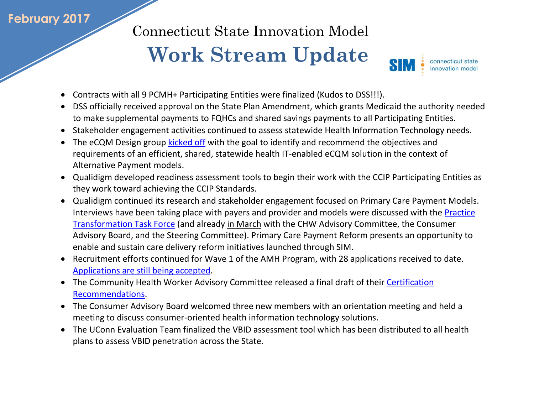## **February 2017**

Connecticut State Innovation Model

## **Work Stream Update**



- Contracts with all 9 PCMH+ Participating Entities were finalized (Kudos to DSS!!!).
- DSS officially received approval on the State Plan Amendment, which grants Medicaid the authority needed to make supplemental payments to FQHCs and shared savings payments to all Participating Entities.
- Stakeholder engagement activities continued to assess statewide Health Information Technology needs.
- The eCQM Design group [kicked off](file:///C:/Users/LupiJ/Downloads/20170216_Presentation_eCQM_Kickoff.pdf) with the goal to identify and recommend the objectives and requirements of an efficient, shared, statewide health IT-enabled eCQM solution in the context of Alternative Payment models.
- Qualidigm developed readiness assessment tools to begin their work with the CCIP Participating Entities as they work toward achieving the CCIP Standards.
- Qualidigm continued its research and stakeholder engagement focused on Primary Care Payment Models. Interviews have been taking place with payers and provider and models were discussed with the [Practice](http://www.healthreform.ct.gov/ohri/lib/ohri/work_groups/practice_transformation/2017/2-28/presentation_pttf_20170228_final2.pdf)  [Transformation Task Force](http://www.healthreform.ct.gov/ohri/lib/ohri/work_groups/practice_transformation/2017/2-28/presentation_pttf_20170228_final2.pdf) (and already in March with the CHW Advisory Committee, the Consumer Advisory Board, and the Steering Committee). Primary Care Payment Reform presents an opportunity to enable and sustain care delivery reform initiatives launched through SIM.
- Recruitment efforts continued for Wave 1 of the AMH Program, with 28 applications received to date. [Applications are still being accepted.](http://www.biznet.ct.gov/SCP_Search/BidDetail.aspx?CID=41500)
- The Community Health Worker Advisory Committee released a final draft of their Certification [Recommendations.](http://www.healthreform.ct.gov/ohri/lib/ohri/work_groups/chw/certification_recommendations_chw_advisory_committee_updated_20170223_clean.pdf)
- The Consumer Advisory Board welcomed three new members with an orientation meeting and held a meeting to discuss consumer-oriented health information technology solutions.
- The UConn Evaluation Team finalized the VBID assessment tool which has been distributed to all health plans to assess VBID penetration across the State.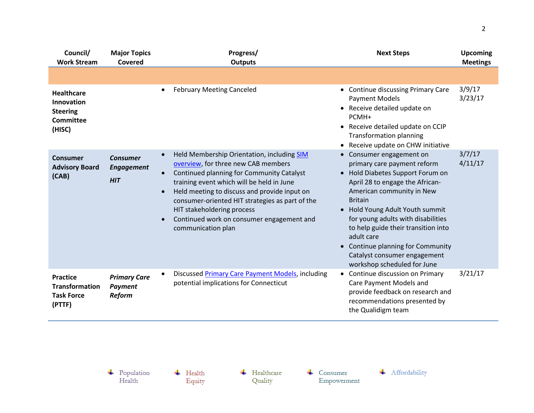| Council/<br><b>Work Stream</b>                                            | <b>Major Topics</b><br>Covered                     | Progress/<br><b>Outputs</b>                                                                                                                                                                                                                                                                                                                                                                               | <b>Next Steps</b>                                                                                                                                                                                                                                                                                                                                                                                               | <b>Upcoming</b><br><b>Meetings</b> |
|---------------------------------------------------------------------------|----------------------------------------------------|-----------------------------------------------------------------------------------------------------------------------------------------------------------------------------------------------------------------------------------------------------------------------------------------------------------------------------------------------------------------------------------------------------------|-----------------------------------------------------------------------------------------------------------------------------------------------------------------------------------------------------------------------------------------------------------------------------------------------------------------------------------------------------------------------------------------------------------------|------------------------------------|
|                                                                           |                                                    |                                                                                                                                                                                                                                                                                                                                                                                                           |                                                                                                                                                                                                                                                                                                                                                                                                                 |                                    |
| <b>Healthcare</b><br>Innovation<br><b>Steering</b><br>Committee<br>(HISC) | <b>February Meeting Canceled</b><br>$\bullet$      |                                                                                                                                                                                                                                                                                                                                                                                                           | • Continue discussing Primary Care<br><b>Payment Models</b><br>• Receive detailed update on<br>PCMH+<br>• Receive detailed update on CCIP<br><b>Transformation planning</b><br>• Receive update on CHW initiative                                                                                                                                                                                               | 3/9/17<br>3/23/17                  |
| Consumer<br><b>Advisory Board</b><br>(CAB)                                | <b>Consumer</b><br><b>Engagement</b><br><b>HIT</b> | Held Membership Orientation, including SIM<br>overview, for three new CAB members<br>Continued planning for Community Catalyst<br>$\bullet$<br>training event which will be held in June<br>Held meeting to discuss and provide input on<br>$\bullet$<br>consumer-oriented HIT strategies as part of the<br>HIT stakeholdering process<br>Continued work on consumer engagement and<br>communication plan | • Consumer engagement on<br>primary care payment reform<br>• Hold Diabetes Support Forum on<br>April 28 to engage the African-<br>American community in New<br><b>Britain</b><br>• Hold Young Adult Youth summit<br>for young adults with disabilities<br>to help guide their transition into<br>adult care<br>• Continue planning for Community<br>Catalyst consumer engagement<br>workshop scheduled for June | 3/7/17<br>4/11/17                  |
| <b>Practice</b><br><b>Transformation</b><br><b>Task Force</b><br>(PTTF)   | <b>Primary Care</b><br><b>Payment</b><br>Reform    | <b>Discussed Primary Care Payment Models, including</b><br>potential implications for Connecticut                                                                                                                                                                                                                                                                                                         | • Continue discussion on Primary<br>Care Payment Models and<br>provide feedback on research and<br>recommendations presented by<br>the Qualidigm team                                                                                                                                                                                                                                                           | 3/21/17                            |

 $\begin{array}{c} \text{\textcolor{red}{\textbf{+}}} & \text{Population} \\ \text{Health} \end{array}$ 

 $\overline{\phantom{a}}$  Health Equity  $\leftarrow$  Healthcare Quality

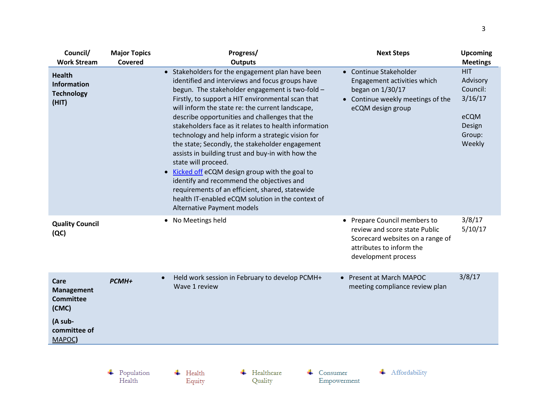| Council/<br><b>Work Stream</b>                                                              | <b>Major Topics</b><br>Covered | Progress/<br><b>Outputs</b>                                                                                                                                                                                                                                                                                                                                                                                                                                                                                                                                                                                                                                                                                                                                                                        | <b>Next Steps</b>                                                                                                                                    | <b>Upcoming</b><br><b>Meetings</b>                                                  |
|---------------------------------------------------------------------------------------------|--------------------------------|----------------------------------------------------------------------------------------------------------------------------------------------------------------------------------------------------------------------------------------------------------------------------------------------------------------------------------------------------------------------------------------------------------------------------------------------------------------------------------------------------------------------------------------------------------------------------------------------------------------------------------------------------------------------------------------------------------------------------------------------------------------------------------------------------|------------------------------------------------------------------------------------------------------------------------------------------------------|-------------------------------------------------------------------------------------|
| <b>Health</b><br>Information<br><b>Technology</b><br>(HIT)                                  |                                | • Stakeholders for the engagement plan have been<br>identified and interviews and focus groups have<br>begun. The stakeholder engagement is two-fold -<br>Firstly, to support a HIT environmental scan that<br>will inform the state re: the current landscape,<br>describe opportunities and challenges that the<br>stakeholders face as it relates to health information<br>technology and help inform a strategic vision for<br>the state; Secondly, the stakeholder engagement<br>assists in building trust and buy-in with how the<br>state will proceed.<br>Kicked off eCQM design group with the goal to<br>identify and recommend the objectives and<br>requirements of an efficient, shared, statewide<br>health IT-enabled eCQM solution in the context of<br>Alternative Payment models | • Continue Stakeholder<br>Engagement activities which<br>began on 1/30/17<br>• Continue weekly meetings of the<br>eCQM design group                  | <b>HIT</b><br>Advisory<br>Council:<br>3/16/17<br>eCQM<br>Design<br>Group:<br>Weekly |
| <b>Quality Council</b><br>(QC)                                                              |                                | No Meetings held<br>$\bullet$                                                                                                                                                                                                                                                                                                                                                                                                                                                                                                                                                                                                                                                                                                                                                                      | • Prepare Council members to<br>review and score state Public<br>Scorecard websites on a range of<br>attributes to inform the<br>development process | 3/8/17<br>5/10/17                                                                   |
| Care<br><b>Management</b><br><b>Committee</b><br>(CMC)<br>(A sub-<br>committee of<br>MAPOC) | PCMH+                          | Held work session in February to develop PCMH+<br>$\bullet$<br>Wave 1 review                                                                                                                                                                                                                                                                                                                                                                                                                                                                                                                                                                                                                                                                                                                       | • Present at March MAPOC<br>meeting compliance review plan                                                                                           | 3/8/17                                                                              |
|                                                                                             |                                |                                                                                                                                                                                                                                                                                                                                                                                                                                                                                                                                                                                                                                                                                                                                                                                                    |                                                                                                                                                      |                                                                                     |

 $\begin{array}{c} \text{\textcolor{red}{\textbf{+}}} & \text{Population} \\ \text{Health} \end{array}$ 

 $\leftarrow$  Health Equity  $\leftarrow$  Healthcare Quality

 $\leftarrow$  Consumer Empowerment + Affordability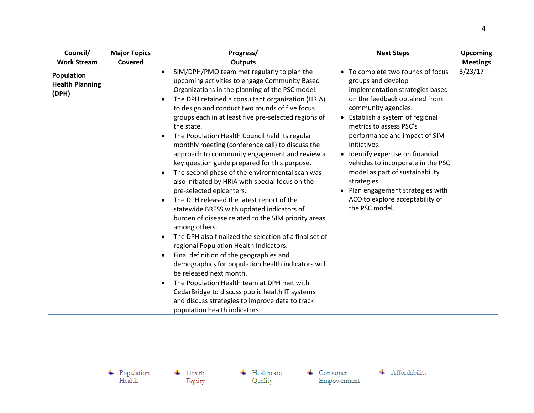| Council/                                      | <b>Major Topics</b> | Progress/                                                                                                                                                                                                                                                                                                                                                                                                                                                                                                                                                                                                                                                                                                                                                                                                                                                                                                                                                                                                                                                                                                                                                                                                                                                                                                                                                | <b>Next Steps</b>                                                                                                                                                                                                                                                                                                                                                                                                                                                                         | <b>Upcoming</b> |
|-----------------------------------------------|---------------------|----------------------------------------------------------------------------------------------------------------------------------------------------------------------------------------------------------------------------------------------------------------------------------------------------------------------------------------------------------------------------------------------------------------------------------------------------------------------------------------------------------------------------------------------------------------------------------------------------------------------------------------------------------------------------------------------------------------------------------------------------------------------------------------------------------------------------------------------------------------------------------------------------------------------------------------------------------------------------------------------------------------------------------------------------------------------------------------------------------------------------------------------------------------------------------------------------------------------------------------------------------------------------------------------------------------------------------------------------------|-------------------------------------------------------------------------------------------------------------------------------------------------------------------------------------------------------------------------------------------------------------------------------------------------------------------------------------------------------------------------------------------------------------------------------------------------------------------------------------------|-----------------|
| <b>Work Stream</b>                            | Covered             | <b>Outputs</b>                                                                                                                                                                                                                                                                                                                                                                                                                                                                                                                                                                                                                                                                                                                                                                                                                                                                                                                                                                                                                                                                                                                                                                                                                                                                                                                                           |                                                                                                                                                                                                                                                                                                                                                                                                                                                                                           | <b>Meetings</b> |
| Population<br><b>Health Planning</b><br>(DPH) |                     | SIM/DPH/PMO team met regularly to plan the<br>$\bullet$<br>upcoming activities to engage Community Based<br>Organizations in the planning of the PSC model.<br>The DPH retained a consultant organization (HRiA)<br>to design and conduct two rounds of five focus<br>groups each in at least five pre-selected regions of<br>the state.<br>The Population Health Council held its regular<br>$\bullet$<br>monthly meeting (conference call) to discuss the<br>approach to community engagement and review a<br>key question guide prepared for this purpose.<br>The second phase of the environmental scan was<br>$\bullet$<br>also initiated by HRIA with special focus on the<br>pre-selected epicenters.<br>The DPH released the latest report of the<br>$\bullet$<br>statewide BRFSS with updated indicators of<br>burden of disease related to the SIM priority areas<br>among others.<br>The DPH also finalized the selection of a final set of<br>$\bullet$<br>regional Population Health Indicators.<br>Final definition of the geographies and<br>$\bullet$<br>demographics for population health indicators will<br>be released next month.<br>The Population Health team at DPH met with<br>$\bullet$<br>CedarBridge to discuss public health IT systems<br>and discuss strategies to improve data to track<br>population health indicators. | • To complete two rounds of focus<br>groups and develop<br>implementation strategies based<br>on the feedback obtained from<br>community agencies.<br>• Establish a system of regional<br>metrics to assess PSC's<br>performance and impact of SIM<br>initiatives.<br>• Identify expertise on financial<br>vehicles to incorporate in the PSC<br>model as part of sustainability<br>strategies.<br>• Plan engagement strategies with<br>ACO to explore acceptability of<br>the PSC model. | 3/23/17         |

 $\begin{array}{c} \text{\textcolor{red}{\textbf{+}}} & \text{Population} \\ \text{Health} \end{array}$ 

 $\overline{\phantom{a}}$  Health Equity  $\leftarrow$  Healthcare Quality

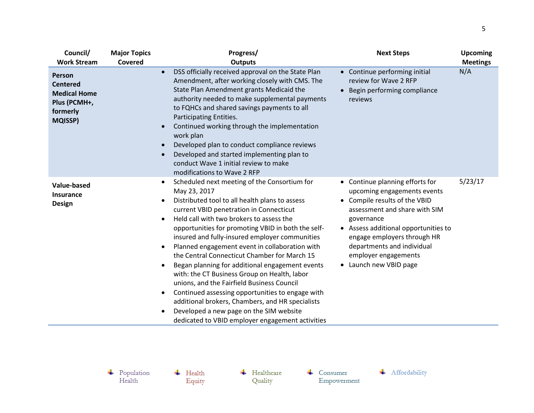| Council/<br><b>Work Stream</b>                                                                 | <b>Major Topics</b><br>Covered | Progress/<br><b>Outputs</b>                                                                                                                                                                                                                                                                                                                                                                                                                                                                                                                                                                                                                                                                                                                                                                                                                                                                                                                                                                                                                            | <b>Next Steps</b>                                                                                | <b>Upcoming</b><br><b>Meetings</b> |
|------------------------------------------------------------------------------------------------|--------------------------------|--------------------------------------------------------------------------------------------------------------------------------------------------------------------------------------------------------------------------------------------------------------------------------------------------------------------------------------------------------------------------------------------------------------------------------------------------------------------------------------------------------------------------------------------------------------------------------------------------------------------------------------------------------------------------------------------------------------------------------------------------------------------------------------------------------------------------------------------------------------------------------------------------------------------------------------------------------------------------------------------------------------------------------------------------------|--------------------------------------------------------------------------------------------------|------------------------------------|
| Person<br><b>Centered</b><br><b>Medical Home</b><br>Plus (PCMH+,<br>formerly<br><b>MQISSP)</b> |                                | DSS officially received approval on the State Plan<br>$\bullet$<br>Amendment, after working closely with CMS. The<br>State Plan Amendment grants Medicaid the<br>authority needed to make supplemental payments<br>to FQHCs and shared savings payments to all<br>Participating Entities.<br>Continued working through the implementation<br>work plan<br>Developed plan to conduct compliance reviews<br>Developed and started implementing plan to<br>conduct Wave 1 initial review to make<br>modifications to Wave 2 RFP                                                                                                                                                                                                                                                                                                                                                                                                                                                                                                                           | • Continue performing initial<br>review for Wave 2 RFP<br>Begin performing compliance<br>reviews | N/A                                |
| <b>Value-based</b><br><b>Insurance</b><br><b>Design</b>                                        |                                | Scheduled next meeting of the Consortium for<br>• Continue planning efforts for<br>$\bullet$<br>May 23, 2017<br>upcoming engagements events<br>• Compile results of the VBID<br>Distributed tool to all health plans to assess<br>current VBID penetration in Connecticut<br>assessment and share with SIM<br>Held call with two brokers to assess the<br>governance<br>opportunities for promoting VBID in both the self-<br>• Assess additional opportunities to<br>insured and fully-insured employer communities<br>engage employers through HR<br>departments and individual<br>Planned engagement event in collaboration with<br>$\bullet$<br>the Central Connecticut Chamber for March 15<br>employer engagements<br>• Launch new VBID page<br>Began planning for additional engagement events<br>with: the CT Business Group on Health, labor<br>unions, and the Fairfield Business Council<br>Continued assessing opportunities to engage with<br>additional brokers, Chambers, and HR specialists<br>Developed a new page on the SIM website |                                                                                                  | 5/23/17                            |

 $\overline{\phantom{a}}$  Health Equity  $\leftarrow$  Healthcare Quality

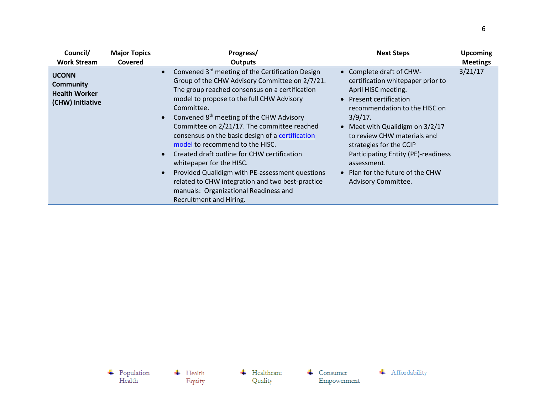| Council/                                                                     | <b>Major Topics</b>                                                                                                                                                                                                                                                                                                                                                                                                                                                                                                                                                                                                                                                   | Progress/      | <b>Next Steps</b>                                                                                                                                                                                                                                                                                                                                                            | <b>Upcoming</b> |
|------------------------------------------------------------------------------|-----------------------------------------------------------------------------------------------------------------------------------------------------------------------------------------------------------------------------------------------------------------------------------------------------------------------------------------------------------------------------------------------------------------------------------------------------------------------------------------------------------------------------------------------------------------------------------------------------------------------------------------------------------------------|----------------|------------------------------------------------------------------------------------------------------------------------------------------------------------------------------------------------------------------------------------------------------------------------------------------------------------------------------------------------------------------------------|-----------------|
| <b>Work Stream</b>                                                           | Covered                                                                                                                                                                                                                                                                                                                                                                                                                                                                                                                                                                                                                                                               | <b>Outputs</b> |                                                                                                                                                                                                                                                                                                                                                                              | <b>Meetings</b> |
| <b>UCONN</b><br><b>Community</b><br><b>Health Worker</b><br>(CHW) Initiative | Convened 3 <sup>rd</sup> meeting of the Certification Design<br>Group of the CHW Advisory Committee on 2/7/21.<br>The group reached consensus on a certification<br>model to propose to the full CHW Advisory<br>Committee.<br>Convened $8th$ meeting of the CHW Advisory<br>Committee on 2/21/17. The committee reached<br>consensus on the basic design of a certification<br>model to recommend to the HISC.<br>Created draft outline for CHW certification<br>whitepaper for the HISC.<br>Provided Qualidigm with PE-assessment questions<br>related to CHW integration and two best-practice<br>manuals: Organizational Readiness and<br>Recruitment and Hiring. |                | • Complete draft of CHW-<br>certification whitepaper prior to<br>April HISC meeting.<br>• Present certification<br>recommendation to the HISC on<br>$3/9/17$ .<br>• Meet with Qualidigm on 3/2/17<br>to review CHW materials and<br>strategies for the CCIP<br>Participating Entity (PE)-readiness<br>assessment.<br>• Plan for the future of the CHW<br>Advisory Committee. | 3/21/17         |

 $\begin{array}{c} \text{\textcolor{red}{\textbf{+}}} & \text{Population} \\ \text{Health} \end{array}$  $\overline{\phantom{a}}$  Health Equity

 $\leftarrow$  Healthcare Quality

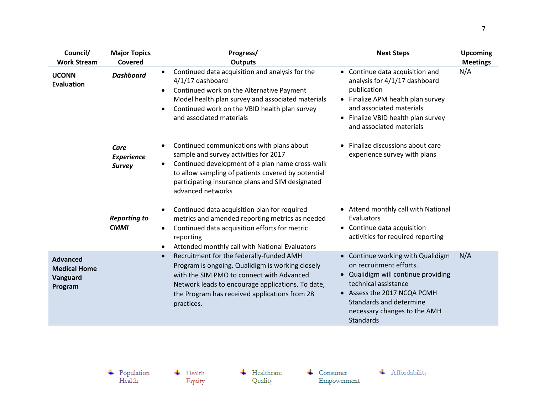| Council/<br><b>Work Stream</b>                                | <b>Major Topics</b><br>Covered             | Progress/<br><b>Outputs</b>                                                                                                                                                                                                                                                | <b>Next Steps</b>                                                                                                                                                                                                                         | <b>Upcoming</b><br><b>Meetings</b> |
|---------------------------------------------------------------|--------------------------------------------|----------------------------------------------------------------------------------------------------------------------------------------------------------------------------------------------------------------------------------------------------------------------------|-------------------------------------------------------------------------------------------------------------------------------------------------------------------------------------------------------------------------------------------|------------------------------------|
| <b>UCONN</b><br>Evaluation                                    | <b>Dashboard</b>                           | Continued data acquisition and analysis for the<br>$\bullet$<br>4/1/17 dashboard<br>Continued work on the Alternative Payment<br>Model health plan survey and associated materials<br>Continued work on the VBID health plan survey<br>and associated materials            | • Continue data acquisition and<br>analysis for 4/1/17 dashboard<br>publication<br>• Finalize APM health plan survey<br>and associated materials<br>• Finalize VBID health plan survey<br>and associated materials                        | N/A                                |
|                                                               | Care<br><b>Experience</b><br><b>Survey</b> | Continued communications with plans about<br>sample and survey activities for 2017<br>Continued development of a plan name cross-walk<br>to allow sampling of patients covered by potential<br>participating insurance plans and SIM designated<br>advanced networks       | • Finalize discussions about care<br>experience survey with plans                                                                                                                                                                         |                                    |
|                                                               | <b>Reporting to</b><br><b>CMMI</b>         | Continued data acquisition plan for required<br>metrics and amended reporting metrics as needed<br>Continued data acquisition efforts for metric<br>$\bullet$<br>reporting<br>Attended monthly call with National Evaluators                                               | • Attend monthly call with National<br>Evaluators<br>• Continue data acquisition<br>activities for required reporting                                                                                                                     |                                    |
| <b>Advanced</b><br><b>Medical Home</b><br>Vanguard<br>Program |                                            | Recruitment for the federally-funded AMH<br>$\bullet$<br>Program is ongoing. Qualidigm is working closely<br>with the SIM PMO to connect with Advanced<br>Network leads to encourage applications. To date,<br>the Program has received applications from 28<br>practices. | • Continue working with Qualidigm<br>on recruitment efforts.<br>• Qualidigm will continue providing<br>technical assistance<br>• Assess the 2017 NCQA PCMH<br>Standards and determine<br>necessary changes to the AMH<br><b>Standards</b> | N/A                                |

 $\leftarrow$  Healthcare Quality

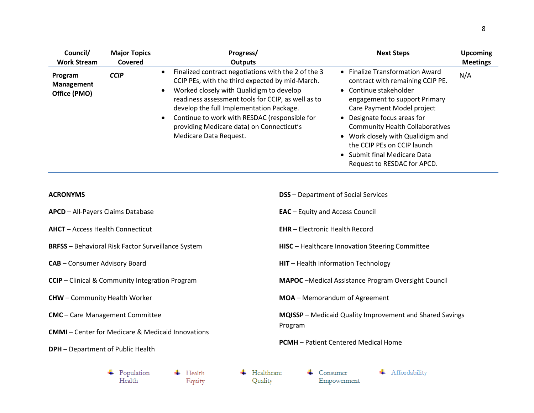| Council/<br><b>Work Stream</b>                            | <b>Major Topics</b><br>Covered |                                                                                                                                  | Progress/<br><b>Outputs</b>                                                                                                                                                                                                                                | <b>Next Steps</b>                                                                                                                                                                                                                                                                                                                                                        | <b>Upcoming</b><br><b>Meetings</b> |  |
|-----------------------------------------------------------|--------------------------------|----------------------------------------------------------------------------------------------------------------------------------|------------------------------------------------------------------------------------------------------------------------------------------------------------------------------------------------------------------------------------------------------------|--------------------------------------------------------------------------------------------------------------------------------------------------------------------------------------------------------------------------------------------------------------------------------------------------------------------------------------------------------------------------|------------------------------------|--|
| Program<br><b>Management</b><br>Office (PMO)              | <b>CCIP</b>                    | $\bullet$<br>Worked closely with Qualidigm to develop<br>٠<br>develop the full Implementation Package.<br>Medicare Data Request. | Finalized contract negotiations with the 2 of the 3<br>CCIP PEs, with the third expected by mid-March.<br>readiness assessment tools for CCIP, as well as to<br>Continue to work with RESDAC (responsible for<br>providing Medicare data) on Connecticut's | • Finalize Transformation Award<br>contract with remaining CCIP PE.<br>• Continue stakeholder<br>engagement to support Primary<br>Care Payment Model project<br>• Designate focus areas for<br><b>Community Health Collaboratives</b><br>• Work closely with Qualidigm and<br>the CCIP PEs on CCIP launch<br>• Submit final Medicare Data<br>Request to RESDAC for APCD. | N/A                                |  |
| <b>ACRONYMS</b>                                           |                                |                                                                                                                                  |                                                                                                                                                                                                                                                            | <b>DSS</b> - Department of Social Services                                                                                                                                                                                                                                                                                                                               |                                    |  |
| <b>APCD</b> - All-Payers Claims Database                  |                                |                                                                                                                                  |                                                                                                                                                                                                                                                            | <b>EAC</b> - Equity and Access Council                                                                                                                                                                                                                                                                                                                                   |                                    |  |
| <b>AHCT</b> - Access Health Connecticut                   |                                |                                                                                                                                  |                                                                                                                                                                                                                                                            | <b>EHR</b> - Electronic Health Record                                                                                                                                                                                                                                                                                                                                    |                                    |  |
| <b>BRFSS</b> - Behavioral Risk Factor Surveillance System |                                |                                                                                                                                  |                                                                                                                                                                                                                                                            | HISC - Healthcare Innovation Steering Committee                                                                                                                                                                                                                                                                                                                          |                                    |  |
| <b>CAB</b> - Consumer Advisory Board                      |                                |                                                                                                                                  |                                                                                                                                                                                                                                                            | HIT - Health Information Technology                                                                                                                                                                                                                                                                                                                                      |                                    |  |
| <b>CCIP</b> - Clinical & Community Integration Program    |                                |                                                                                                                                  |                                                                                                                                                                                                                                                            | <b>MAPOC</b> - Medical Assistance Program Oversight Council                                                                                                                                                                                                                                                                                                              |                                    |  |
| <b>CHW</b> - Community Health Worker                      |                                |                                                                                                                                  |                                                                                                                                                                                                                                                            | MOA - Memorandum of Agreement                                                                                                                                                                                                                                                                                                                                            |                                    |  |
| <b>CMC</b> - Care Management Committee                    |                                |                                                                                                                                  |                                                                                                                                                                                                                                                            | MQISSP - Medicaid Quality Improvement and Shared Savings                                                                                                                                                                                                                                                                                                                 |                                    |  |
| <b>DPH</b> - Department of Public Health                  |                                | <b>CMMI-Center for Medicare &amp; Medicaid Innovations</b>                                                                       | Program                                                                                                                                                                                                                                                    | <b>PCMH</b> - Patient Centered Medical Home                                                                                                                                                                                                                                                                                                                              |                                    |  |
|                                                           | Population<br>Health           | Health<br>Equity                                                                                                                 | Healthcare<br>Quality                                                                                                                                                                                                                                      | Affordability<br>Consumer<br>Empowerment                                                                                                                                                                                                                                                                                                                                 |                                    |  |